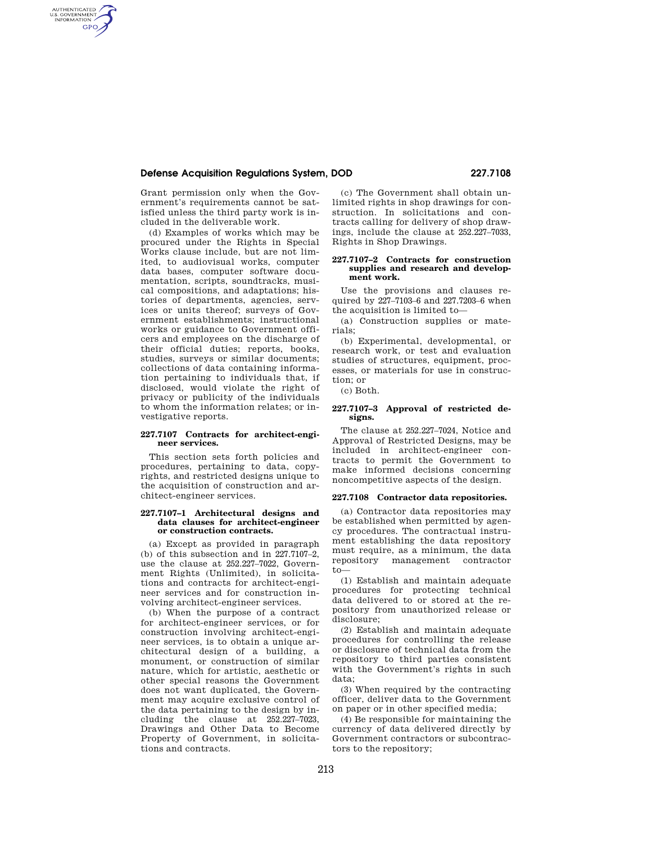# **Defense Acquisition Regulations System, DOD 227.7108**

Grant permission only when the Government's requirements cannot be satisfied unless the third party work is included in the deliverable work.

AUTHENTICATED<br>U.S. GOVERNMENT<br>INFORMATION **GPO** 

> (d) Examples of works which may be procured under the Rights in Special Works clause include, but are not limited, to audiovisual works, computer data bases, computer software documentation, scripts, soundtracks, musical compositions, and adaptations; histories of departments, agencies, services or units thereof; surveys of Government establishments; instructional works or guidance to Government officers and employees on the discharge of their official duties; reports, books, studies, surveys or similar documents; collections of data containing information pertaining to individuals that, if disclosed, would violate the right of privacy or publicity of the individuals to whom the information relates; or investigative reports.

### **227.7107 Contracts for architect-engineer services.**

This section sets forth policies and procedures, pertaining to data, copyrights, and restricted designs unique to the acquisition of construction and architect-engineer services.

### **227.7107–1 Architectural designs and data clauses for architect-engineer or construction contracts.**

(a) Except as provided in paragraph (b) of this subsection and in 227.7107–2, use the clause at 252.227–7022, Government Rights (Unlimited), in solicitations and contracts for architect-engineer services and for construction involving architect-engineer services.

(b) When the purpose of a contract for architect-engineer services, or for construction involving architect-engineer services, is to obtain a unique architectural design of a building, a monument, or construction of similar nature, which for artistic, aesthetic or other special reasons the Government does not want duplicated, the Government may acquire exclusive control of the data pertaining to the design by including the clause at 252.227–7023, Drawings and Other Data to Become Property of Government, in solicitations and contracts.

(c) The Government shall obtain unlimited rights in shop drawings for construction. In solicitations and contracts calling for delivery of shop drawings, include the clause at 252.227–7033, Rights in Shop Drawings.

### **227.7107–2 Contracts for construction supplies and research and development work.**

Use the provisions and clauses required by 227–7103–6 and 227.7203–6 when the acquisition is limited to—

(a) Construction supplies or materials;

(b) Experimental, developmental, or research work, or test and evaluation studies of structures, equipment, processes, or materials for use in construction; or

(c) Both.

## **227.7107–3 Approval of restricted designs.**

The clause at 252.227–7024, Notice and Approval of Restricted Designs, may be included in architect-engineer contracts to permit the Government to make informed decisions concerning noncompetitive aspects of the design.

### **227.7108 Contractor data repositories.**

(a) Contractor data repositories may be established when permitted by agency procedures. The contractual instrument establishing the data repository must require, as a minimum, the data repository management contractor to—

(1) Establish and maintain adequate procedures for protecting technical data delivered to or stored at the repository from unauthorized release or disclosure;

(2) Establish and maintain adequate procedures for controlling the release or disclosure of technical data from the repository to third parties consistent with the Government's rights in such data;

(3) When required by the contracting officer, deliver data to the Government on paper or in other specified media;

(4) Be responsible for maintaining the currency of data delivered directly by Government contractors or subcontractors to the repository;